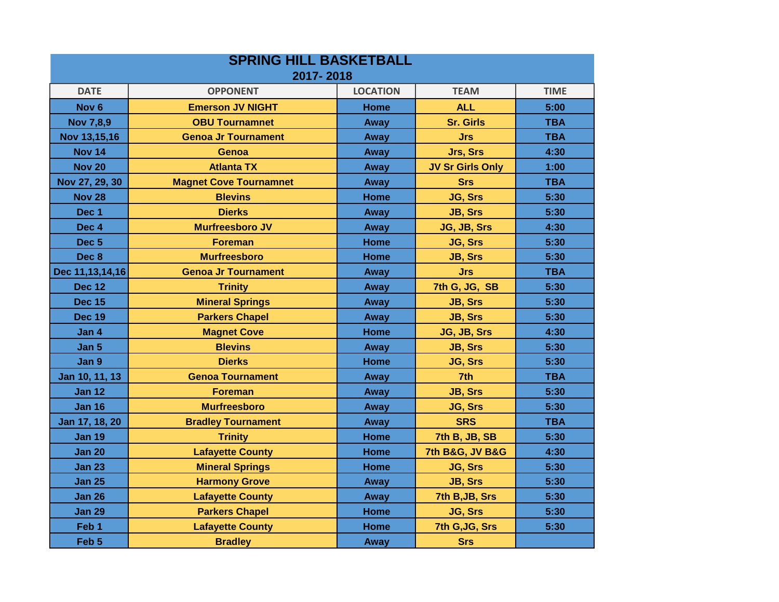| <b>SPRING HILL BASKETBALL</b><br>2017-2018 |                               |             |                                |            |  |  |  |  |
|--------------------------------------------|-------------------------------|-------------|--------------------------------|------------|--|--|--|--|
|                                            |                               |             |                                |            |  |  |  |  |
| Nov <sub>6</sub>                           | <b>Emerson JV NIGHT</b>       | <b>Home</b> | <b>ALL</b>                     | 5:00       |  |  |  |  |
| <b>Nov 7,8,9</b>                           | <b>OBU Tournamnet</b>         | Away        | <b>Sr. Girls</b>               | <b>TBA</b> |  |  |  |  |
| Nov 13,15,16                               | <b>Genoa Jr Tournament</b>    | Away        | <b>Jrs</b>                     | <b>TBA</b> |  |  |  |  |
| <b>Nov 14</b>                              | Genoa                         | Away        | Jrs, Srs                       | 4:30       |  |  |  |  |
| <b>Nov 20</b>                              | <b>Atlanta TX</b>             | Away        | <b>JV Sr Girls Only</b>        | 1:00       |  |  |  |  |
| Nov 27, 29, 30                             | <b>Magnet Cove Tournamnet</b> | Away        | <b>Srs</b>                     | <b>TBA</b> |  |  |  |  |
| <b>Nov 28</b>                              | <b>Blevins</b>                | <b>Home</b> | JG, Srs                        | 5:30       |  |  |  |  |
| Dec 1                                      | <b>Dierks</b>                 | Away        | JB, Srs                        | 5:30       |  |  |  |  |
| Dec 4                                      | <b>Murfreesboro JV</b>        | Away        | JG, JB, Srs                    | 4:30       |  |  |  |  |
| Dec <sub>5</sub>                           | <b>Foreman</b>                | <b>Home</b> | <b>JG, Srs</b>                 | 5:30       |  |  |  |  |
| Dec 8                                      | <b>Murfreesboro</b>           | <b>Home</b> | <b>JB, Srs</b>                 | 5:30       |  |  |  |  |
| Dec 11, 13, 14, 16                         | <b>Genoa Jr Tournament</b>    | Away        | <b>Jrs</b>                     | <b>TBA</b> |  |  |  |  |
| <b>Dec 12</b>                              | <b>Trinity</b>                | Away        | 7th G, JG, SB                  | 5:30       |  |  |  |  |
| <b>Dec 15</b>                              | <b>Mineral Springs</b>        | Away        | <b>JB, Srs</b>                 | 5:30       |  |  |  |  |
| <b>Dec 19</b>                              | <b>Parkers Chapel</b>         | Away        | <b>JB, Srs</b>                 | 5:30       |  |  |  |  |
| Jan 4                                      | <b>Magnet Cove</b>            | <b>Home</b> | JG, JB, Srs                    | 4:30       |  |  |  |  |
| Jan 5                                      | <b>Blevins</b>                | Away        | <b>JB, Srs</b>                 | 5:30       |  |  |  |  |
| Jan 9                                      | <b>Dierks</b>                 | <b>Home</b> | JG, Srs                        | 5:30       |  |  |  |  |
| Jan 10, 11, 13                             | <b>Genoa Tournament</b>       | Away        | 7th                            | <b>TBA</b> |  |  |  |  |
| <b>Jan 12</b>                              | <b>Foreman</b>                | Away        | <b>JB, Srs</b>                 | 5:30       |  |  |  |  |
| <b>Jan 16</b>                              | <b>Murfreesboro</b>           | Away        | JG, Srs                        | 5:30       |  |  |  |  |
| Jan 17, 18, 20                             | <b>Bradley Tournament</b>     | Away        | <b>SRS</b>                     | <b>TBA</b> |  |  |  |  |
| <b>Jan 19</b>                              | <b>Trinity</b>                | Home        | 7th B, JB, SB                  | 5:30       |  |  |  |  |
| <b>Jan 20</b>                              | <b>Lafayette County</b>       | <b>Home</b> | <b>7th B&amp;G, JV B&amp;G</b> | 4:30       |  |  |  |  |
| <b>Jan 23</b>                              | <b>Mineral Springs</b>        | <b>Home</b> | JG, Srs                        | 5:30       |  |  |  |  |
| <b>Jan 25</b>                              | <b>Harmony Grove</b>          | Away        | <b>JB, Srs</b>                 | 5:30       |  |  |  |  |
| <b>Jan 26</b>                              | <b>Lafayette County</b>       | Away        | 7th B, JB, Srs                 | 5:30       |  |  |  |  |
| <b>Jan 29</b>                              | <b>Parkers Chapel</b>         | Home        | JG, Srs                        | 5:30       |  |  |  |  |
| Feb <sub>1</sub>                           | <b>Lafayette County</b>       | <b>Home</b> | 7th G, JG, Srs                 | 5:30       |  |  |  |  |
| Feb <sub>5</sub>                           | <b>Bradley</b>                | Away        | <b>Srs</b>                     |            |  |  |  |  |